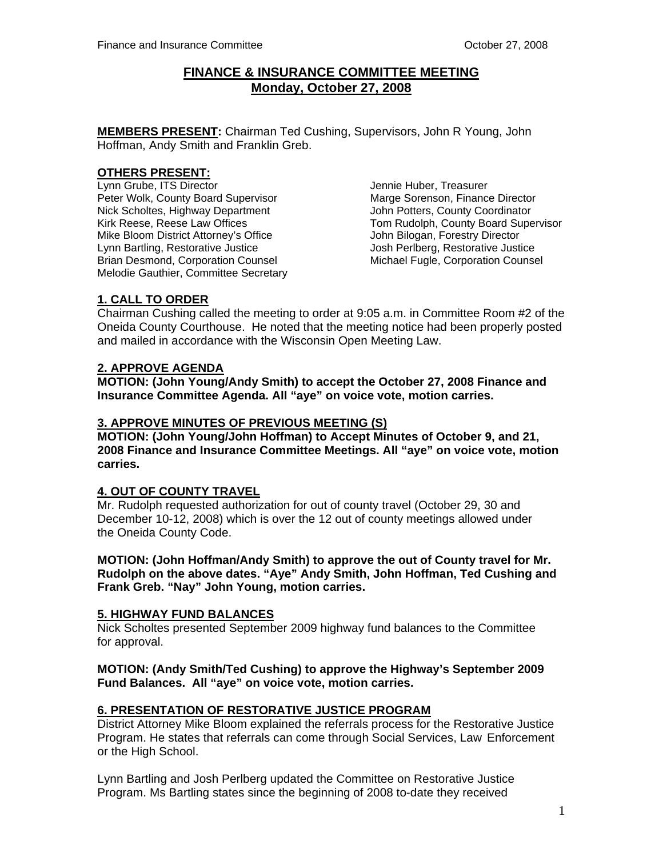## **FINANCE & INSURANCE COMMITTEE MEETING Monday, October 27, 2008**

**MEMBERS PRESENT:** Chairman Ted Cushing, Supervisors, John R Young, John Hoffman, Andy Smith and Franklin Greb.

## **OTHERS PRESENT:**

Lynn Grube, ITS Director<br>Peter Wolk. County Board Supervisor Marge Sorenson. Finance Director Peter Wolk, County Board Supervisor **Marge Sorenson, Finance Director**<br>Nick Scholtes. Highway Department Marge John Potters. County Coordinator Nick Scholtes, Highway Department Mike Bloom District Attorney's Office **John Bilogan, Forestry Director** Lynn Bartling, Restorative Justice **State State State State Justice** Justice Justice Brian Desmond, Corporation Counsel Michael Fugle, Corporation Counsel Melodie Gauthier, Committee Secretary

Kirk Reese, Reese Law Offices The Supervisor Tom Rudolph, County Board Supervisor

## **1. CALL TO ORDER**

Chairman Cushing called the meeting to order at 9:05 a.m. in Committee Room #2 of the Oneida County Courthouse. He noted that the meeting notice had been properly posted and mailed in accordance with the Wisconsin Open Meeting Law.

## **2. APPROVE AGENDA**

 **MOTION: (John Young/Andy Smith) to accept the October 27, 2008 Finance and Insurance Committee Agenda. All "aye" on voice vote, motion carries.** 

## **3. APPROVE MINUTES OF PREVIOUS MEETING (S)**

**MOTION: (John Young/John Hoffman) to Accept Minutes of October 9, and 21, 2008 Finance and Insurance Committee Meetings. All "aye" on voice vote, motion carries.** 

## **4. OUT OF COUNTY TRAVEL**

Mr. Rudolph requested authorization for out of county travel (October 29, 30 and December 10-12, 2008) which is over the 12 out of county meetings allowed under the Oneida County Code.

 **MOTION: (John Hoffman/Andy Smith) to approve the out of County travel for Mr. Rudolph on the above dates. "Aye" Andy Smith, John Hoffman, Ted Cushing and Frank Greb. "Nay" John Young, motion carries.** 

## **5. HIGHWAY FUND BALANCES**

Nick Scholtes presented September 2009 highway fund balances to the Committee for approval.

#### **MOTION: (Andy Smith/Ted Cushing) to approve the Highway's September 2009 Fund Balances. All "aye" on voice vote, motion carries.**

## **6. PRESENTATION OF RESTORATIVE JUSTICE PROGRAM**

District Attorney Mike Bloom explained the referrals process for the Restorative Justice Program. He states that referrals can come through Social Services, Law Enforcement or the High School.

Lynn Bartling and Josh Perlberg updated the Committee on Restorative Justice Program. Ms Bartling states since the beginning of 2008 to-date they received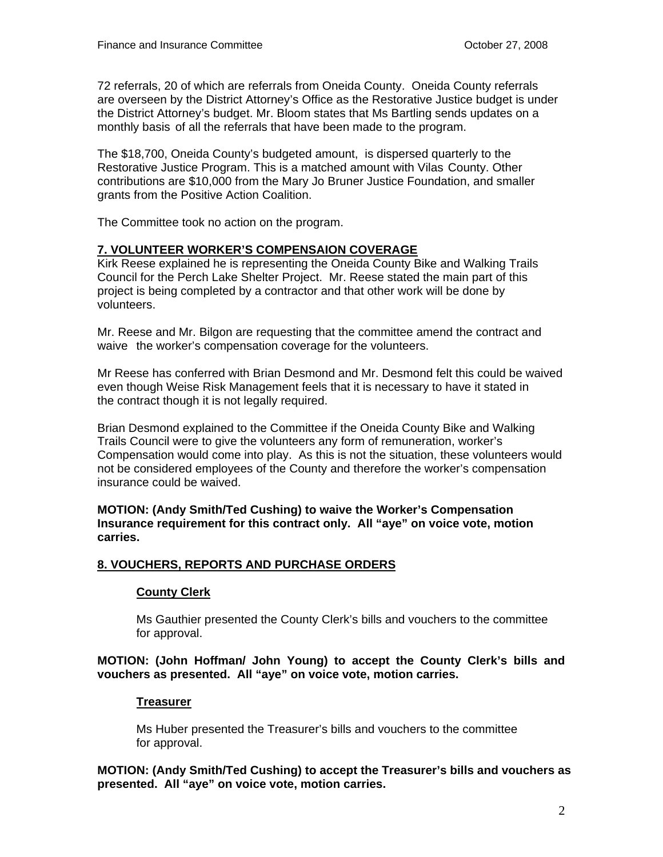72 referrals, 20 of which are referrals from Oneida County. Oneida County referrals are overseen by the District Attorney's Office as the Restorative Justice budget is under the District Attorney's budget. Mr. Bloom states that Ms Bartling sends updates on a monthly basis of all the referrals that have been made to the program.

 The \$18,700, Oneida County's budgeted amount, is dispersed quarterly to the Restorative Justice Program. This is a matched amount with Vilas County. Other contributions are \$10,000 from the Mary Jo Bruner Justice Foundation, and smaller grants from the Positive Action Coalition.

The Committee took no action on the program.

## **7. VOLUNTEER WORKER'S COMPENSAION COVERAGE**

Kirk Reese explained he is representing the Oneida County Bike and Walking Trails Council for the Perch Lake Shelter Project. Mr. Reese stated the main part of this project is being completed by a contractor and that other work will be done by volunteers.

 Mr. Reese and Mr. Bilgon are requesting that the committee amend the contract and waive the worker's compensation coverage for the volunteers.

 Mr Reese has conferred with Brian Desmond and Mr. Desmond felt this could be waived even though Weise Risk Management feels that it is necessary to have it stated in the contract though it is not legally required.

 Brian Desmond explained to the Committee if the Oneida County Bike and Walking Trails Council were to give the volunteers any form of remuneration, worker's Compensation would come into play. As this is not the situation, these volunteers would not be considered employees of the County and therefore the worker's compensation insurance could be waived.

 **MOTION: (Andy Smith/Ted Cushing) to waive the Worker's Compensation Insurance requirement for this contract only. All "aye" on voice vote, motion carries.** 

## **8. VOUCHERS, REPORTS AND PURCHASE ORDERS**

## **County Clerk**

 Ms Gauthier presented the County Clerk's bills and vouchers to the committee for approval.

#### **MOTION: (John Hoffman/ John Young) to accept the County Clerk's bills and vouchers as presented. All "aye" on voice vote, motion carries.**

## **Treasurer**

 Ms Huber presented the Treasurer's bills and vouchers to the committee for approval.

**MOTION: (Andy Smith/Ted Cushing) to accept the Treasurer's bills and vouchers as presented. All "aye" on voice vote, motion carries.**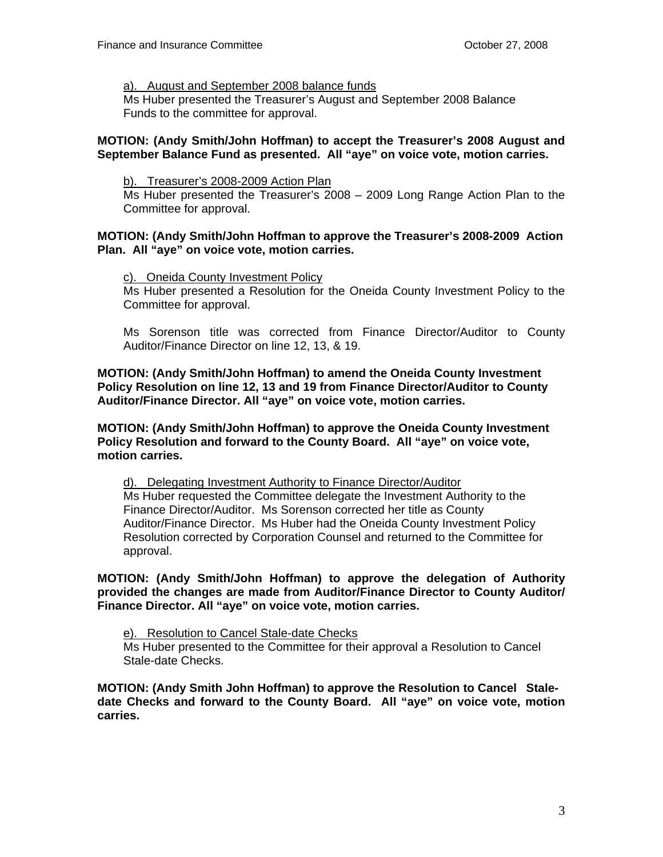#### a). August and September 2008 balance funds

 Ms Huber presented the Treasurer's August and September 2008 Balance Funds to the committee for approval.

#### **MOTION: (Andy Smith/John Hoffman) to accept the Treasurer's 2008 August and September Balance Fund as presented. All "aye" on voice vote, motion carries.**

b). Treasurer's 2008-2009 Action Plan

 Ms Huber presented the Treasurer's 2008 – 2009 Long Range Action Plan to the Committee for approval.

#### **MOTION: (Andy Smith/John Hoffman to approve the Treasurer's 2008-2009 Action Plan. All "aye" on voice vote, motion carries.**

#### c). Oneida County Investment Policy

 Ms Huber presented a Resolution for the Oneida County Investment Policy to the Committee for approval.

 Ms Sorenson title was corrected from Finance Director/Auditor to County Auditor/Finance Director on line 12, 13, & 19.

**MOTION: (Andy Smith/John Hoffman) to amend the Oneida County Investment Policy Resolution on line 12, 13 and 19 from Finance Director/Auditor to County Auditor/Finance Director. All "aye" on voice vote, motion carries.** 

**MOTION: (Andy Smith/John Hoffman) to approve the Oneida County Investment Policy Resolution and forward to the County Board. All "aye" on voice vote, motion carries.** 

 d). Delegating Investment Authority to Finance Director/Auditor Ms Huber requested the Committee delegate the Investment Authority to the Finance Director/Auditor. Ms Sorenson corrected her title as County Auditor/Finance Director. Ms Huber had the Oneida County Investment Policy Resolution corrected by Corporation Counsel and returned to the Committee for approval.

**MOTION: (Andy Smith/John Hoffman) to approve the delegation of Authority provided the changes are made from Auditor/Finance Director to County Auditor/ Finance Director. All "aye" on voice vote, motion carries.** 

 e). Resolution to Cancel Stale-date Checks Ms Huber presented to the Committee for their approval a Resolution to Cancel Stale-date Checks.

**MOTION: (Andy Smith John Hoffman) to approve the Resolution to Cancel Staledate Checks and forward to the County Board. All "aye" on voice vote, motion carries.**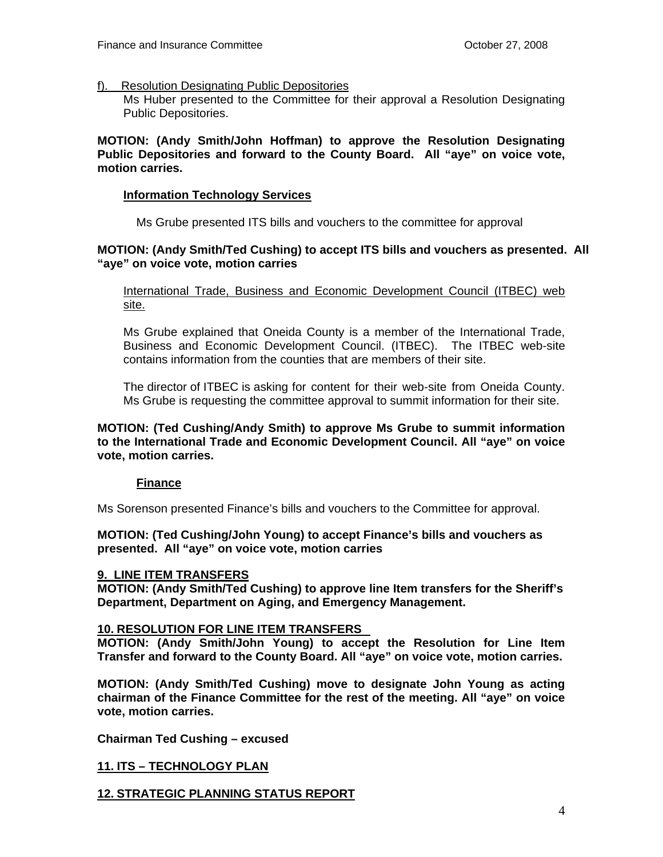#### f). Resolution Designating Public Depositories

 Ms Huber presented to the Committee for their approval a Resolution Designating Public Depositories.

#### **MOTION: (Andy Smith/John Hoffman) to approve the Resolution Designating Public Depositories and forward to the County Board. All "aye" on voice vote, motion carries.**

#### **Information Technology Services**

Ms Grube presented ITS bills and vouchers to the committee for approval

#### **MOTION: (Andy Smith/Ted Cushing) to accept ITS bills and vouchers as presented. All "aye" on voice vote, motion carries**

International Trade, Business and Economic Development Council (ITBEC) web site.

 Ms Grube explained that Oneida County is a member of the International Trade, Business and Economic Development Council. (ITBEC). The ITBEC web-site contains information from the counties that are members of their site.

 The director of ITBEC is asking for content for their web-site from Oneida County. Ms Grube is requesting the committee approval to summit information for their site.

#### **MOTION: (Ted Cushing/Andy Smith) to approve Ms Grube to summit information to the International Trade and Economic Development Council. All "aye" on voice vote, motion carries.**

#### **Finance**

Ms Sorenson presented Finance's bills and vouchers to the Committee for approval.

**MOTION: (Ted Cushing/John Young) to accept Finance's bills and vouchers as presented. All "aye" on voice vote, motion carries** 

#### **9. LINE ITEM TRANSFERS**

**MOTION: (Andy Smith/Ted Cushing) to approve line Item transfers for the Sheriff's Department, Department on Aging, and Emergency Management.** 

#### **10. RESOLUTION FOR LINE ITEM TRANSFERS**

**MOTION: (Andy Smith/John Young) to accept the Resolution for Line Item Transfer and forward to the County Board. All "aye" on voice vote, motion carries.** 

**MOTION: (Andy Smith/Ted Cushing) move to designate John Young as acting chairman of the Finance Committee for the rest of the meeting. All "aye" on voice vote, motion carries.** 

**Chairman Ted Cushing – excused** 

**11. ITS – TECHNOLOGY PLAN**

#### **12. STRATEGIC PLANNING STATUS REPORT**